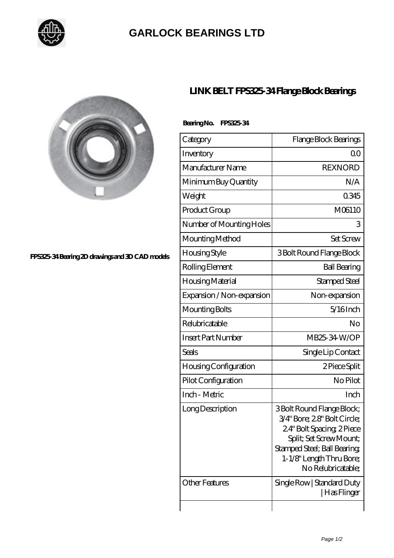

## **[GARLOCK BEARINGS LTD](https://m.letterstopriests.com)**



#### **[FPS325-34 Bearing 2D drawings and 3D CAD models](https://m.letterstopriests.com/pic-188724.html)**

## **[LINK BELT FPS325-34 Flange Block Bearings](https://m.letterstopriests.com/af-188724-link-belt-fps325-34-flange-block-bearings.html)**

### **Bearing No. FPS325-34**

| Category                     | Flange Block Bearings                                                                                                                                                                              |
|------------------------------|----------------------------------------------------------------------------------------------------------------------------------------------------------------------------------------------------|
| Inventory                    | Q0                                                                                                                                                                                                 |
| Manufacturer Name            | <b>REXNORD</b>                                                                                                                                                                                     |
| Minimum Buy Quantity         | N/A                                                                                                                                                                                                |
| Weight                       | 0345                                                                                                                                                                                               |
| Product Group                | M06110                                                                                                                                                                                             |
| Number of Mounting Holes     | 3                                                                                                                                                                                                  |
| Mounting Method              | <b>Set Screw</b>                                                                                                                                                                                   |
| Housing Style                | 3 Bolt Round Flange Block                                                                                                                                                                          |
| Rolling Element              | <b>Ball Bearing</b>                                                                                                                                                                                |
| Housing Material             | Stamped Steel                                                                                                                                                                                      |
| Expansion / Non-expansion    | Non-expansion                                                                                                                                                                                      |
| Mounting Bolts               | $5/16$ Inch                                                                                                                                                                                        |
| Relubricatable               | No                                                                                                                                                                                                 |
| <b>Insert Part Number</b>    | MB25-34 W/OP                                                                                                                                                                                       |
| Seals                        | Single Lip Contact                                                                                                                                                                                 |
| <b>Housing Configuration</b> | 2 Piece Split                                                                                                                                                                                      |
| Pilot Configuration          | No Pilot                                                                                                                                                                                           |
| Inch - Metric                | Inch                                                                                                                                                                                               |
| Long Description             | 3 Bolt Round Flange Block;<br>3/4" Bore; 28" Bolt Circle;<br>24" Bolt Spacing, 2Piece<br>Split; Set Screw Mount;<br>Stamped Steel; Ball Bearing;<br>1-1/8" Length Thru Bore;<br>No Relubricatable; |
| <b>Other Features</b>        | Single Row   Standard Duty<br> Has Flinger                                                                                                                                                         |
|                              |                                                                                                                                                                                                    |